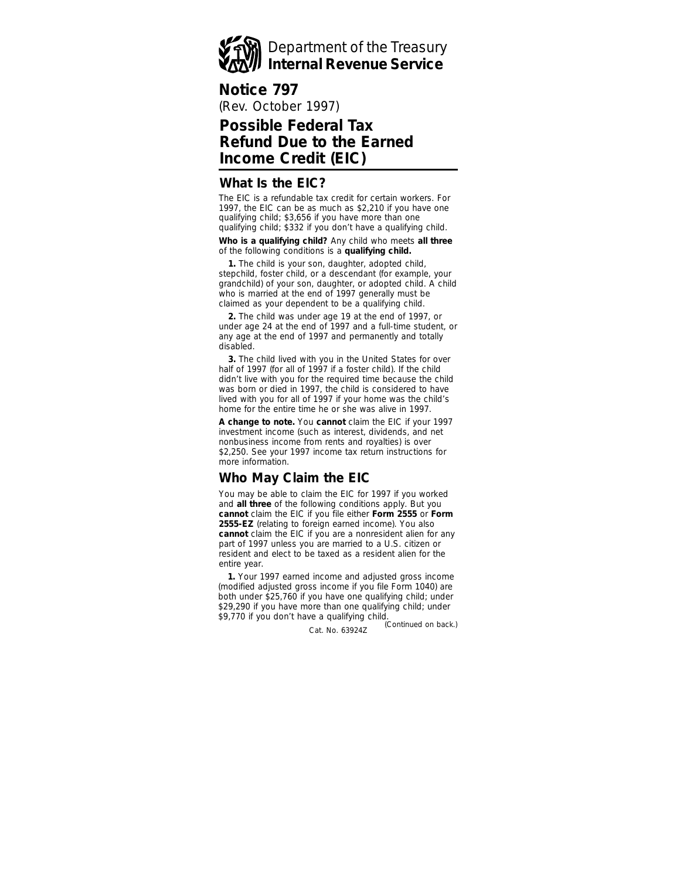

## **Notice 797**

(Rev. October 1997)

# **Possible Federal Tax Refund Due to the Earned Income Credit (EIC)**

#### **What Is the EIC?**

The EIC is a refundable tax credit for certain workers. For 1997, the EIC can be as much as \$2,210 if you have one qualifying child; \$3,656 if you have more than one qualifying child; \$332 if you don't have a qualifying child.

**Who is a qualifying child?** Any child who meets **all three** of the following conditions is a **qualifying child.**

**1.** The child is your son, daughter, adopted child, stepchild, foster child, or a descendant (for example, your grandchild) of your son, daughter, or adopted child. A child who is married at the end of 1997 generally must be claimed as your dependent to be a qualifying child.

**2.** The child was under age 19 at the end of 1997, or under age 24 at the end of 1997 and a full-time student, or any age at the end of 1997 and permanently and totally disabled.

**3.** The child lived with you in the United States for over half of 1997 (for all of 1997 if a foster child). If the child didn't live with you for the required time because the child was born or died in 1997, the child is considered to have lived with you for all of 1997 if your home was the child's home for the entire time he or she was alive in 1997.

**A change to note.** You **cannot** claim the EIC if your 1997 investment income (such as interest, dividends, and net nonbusiness income from rents and royalties) is over \$2,250. See your 1997 income tax return instructions for more information.

## **Who May Claim the EIC**

You may be able to claim the EIC for 1997 if you worked and **all three** of the following conditions apply. But you **cannot** claim the EIC if you file either **Form 2555** or **Form 2555-EZ** (relating to foreign earned income). You also **cannot** claim the EIC if you are a nonresident alien for any part of 1997 unless you are married to a U.S. citizen or resident and elect to be taxed as a resident alien for the entire year.

**1.** Your 1997 earned income and adjusted gross income (modified adjusted gross income if you file Form 1040) are both under \$25,760 if you have one qualifying child; under \$29,290 if you have more than one qualifying child; under \$9,770 if you don't have a qualifying child.

Cat. No. 63924Z *(Continued on back.)*